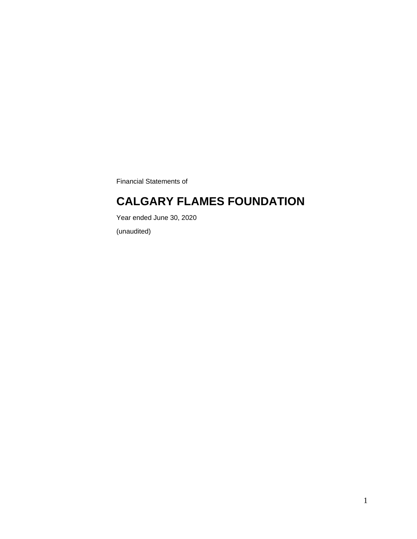Financial Statements of

### **CALGARY FLAMES FOUNDATION**

Year ended June 30, 2020

(unaudited)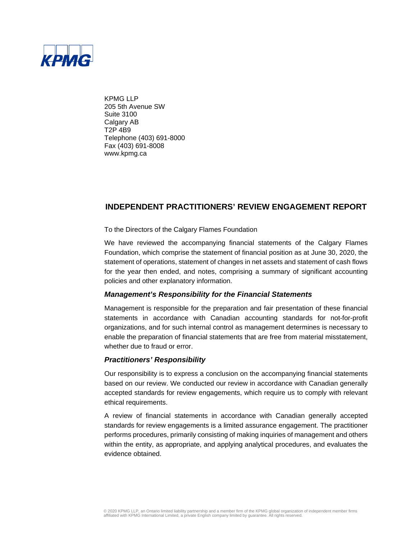

KPMG LLP 205 5th Avenue SW Suite 3100 Calgary AB T2P 4B9 Telephone (403) 691-8000 Fax (403) 691-8008 www.kpmg.ca

### **INDEPENDENT PRACTITIONERS' REVIEW ENGAGEMENT REPORT**

To the Directors of the Calgary Flames Foundation

We have reviewed the accompanying financial statements of the Calgary Flames Foundation, which comprise the statement of financial position as at June 30, 2020, the statement of operations, statement of changes in net assets and statement of cash flows for the year then ended, and notes, comprising a summary of significant accounting policies and other explanatory information.

### *Management's Responsibility for the Financial Statements*

Management is responsible for the preparation and fair presentation of these financial statements in accordance with Canadian accounting standards for not-for-profit organizations, and for such internal control as management determines is necessary to enable the preparation of financial statements that are free from material misstatement, whether due to fraud or error.

#### *Practitioners' Responsibility*

Our responsibility is to express a conclusion on the accompanying financial statements based on our review. We conducted our review in accordance with Canadian generally accepted standards for review engagements, which require us to comply with relevant ethical requirements.

A review of financial statements in accordance with Canadian generally accepted standards for review engagements is a limited assurance engagement. The practitioner performs procedures, primarily consisting of making inquiries of management and others within the entity, as appropriate, and applying analytical procedures, and evaluates the evidence obtained.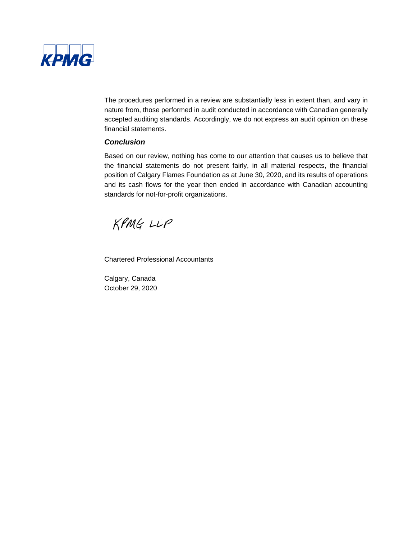

The procedures performed in a review are substantially less in extent than, and vary in nature from, those performed in audit conducted in accordance with Canadian generally accepted auditing standards. Accordingly, we do not express an audit opinion on these financial statements.

### *Conclusion*

Based on our review, nothing has come to our attention that causes us to believe that the financial statements do not present fairly, in all material respects, the financial position of Calgary Flames Foundation as at June 30, 2020, and its results of operations and its cash flows for the year then ended in accordance with Canadian accounting standards for not-for-profit organizations.

KPMG LLP

Chartered Professional Accountants

Calgary, Canada October 29, 2020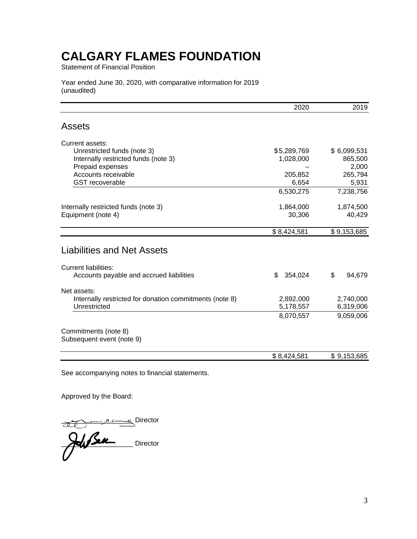Statement of Financial Position

Year ended June 30, 2020, with comparative information for 2019 (unaudited)

| 2020          | 2019                            |
|---------------|---------------------------------|
|               |                                 |
|               |                                 |
| \$5,289,769   | \$6,099,531                     |
| 1,028,000     | 865,500                         |
|               | 2,000                           |
|               | 265,794                         |
|               | 5,931                           |
| 6,530,275     | 7,238,756                       |
| 1,864,000     | 1,874,500                       |
| 30,306        | 40,429                          |
| \$8,424,581   | \$9,153,685                     |
|               |                                 |
|               |                                 |
| \$<br>354,024 | \$<br>94,679                    |
|               |                                 |
| 2,892,000     | 2,740,000                       |
| 5,178,557     | 6,319,006                       |
| 8,070,557     | 9,059,006                       |
|               |                                 |
|               |                                 |
|               | \$9,153,685                     |
|               | 205,852<br>6,654<br>\$8,424,581 |

See accompanying notes to financial statements.

Approved by the Board:

\_\_\_\_\_\_\_\_\_\_\_\_\_\_\_\_\_\_\_ Director

 $\sum$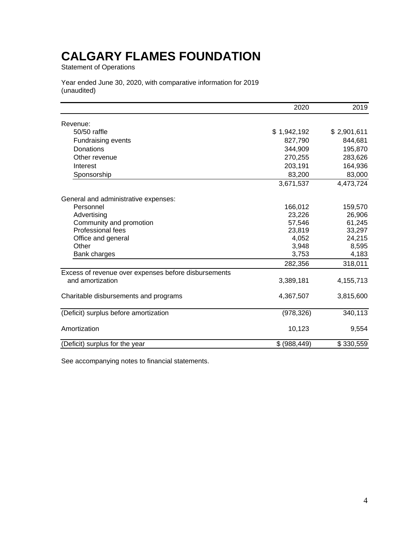Statement of Operations

Year ended June 30, 2020, with comparative information for 2019 (unaudited)

|                                                      | 2020          | 2019        |
|------------------------------------------------------|---------------|-------------|
| Revenue:                                             |               |             |
| 50/50 raffle                                         | \$1,942,192   | \$2,901,611 |
| Fundraising events                                   | 827,790       | 844,681     |
| Donations                                            | 344,909       | 195,870     |
| Other revenue                                        | 270,255       | 283,626     |
| Interest                                             | 203,191       | 164,936     |
| Sponsorship                                          | 83,200        | 83,000      |
|                                                      | 3,671,537     | 4,473,724   |
| General and administrative expenses:                 |               |             |
| Personnel                                            | 166,012       | 159,570     |
| Advertising                                          | 23,226        | 26,906      |
| Community and promotion                              | 57,546        | 61,245      |
| Professional fees                                    | 23,819        | 33,297      |
| Office and general                                   | 4,052         | 24,215      |
| Other                                                | 3,948         | 8,595       |
| Bank charges                                         | 3,753         | 4,183       |
|                                                      | 282,356       | 318,011     |
| Excess of revenue over expenses before disbursements |               |             |
| and amortization                                     | 3,389,181     | 4,155,713   |
| Charitable disbursements and programs                | 4,367,507     | 3,815,600   |
| (Deficit) surplus before amortization                | (978, 326)    | 340,113     |
| Amortization                                         | 10,123        | 9,554       |
| (Deficit) surplus for the year                       | \$ (988, 449) | \$330,559   |

See accompanying notes to financial statements.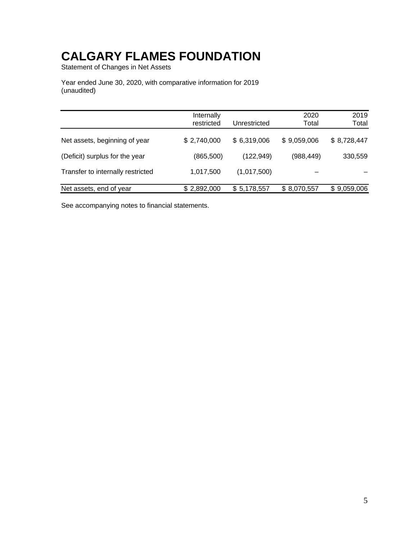Statement of Changes in Net Assets

Year ended June 30, 2020, with comparative information for 2019 (unaudited)

|                                   | Internally  |              | 2020        | 2019        |
|-----------------------------------|-------------|--------------|-------------|-------------|
|                                   | restricted  | Unrestricted | Total       | Total       |
| Net assets, beginning of year     | \$2,740,000 | \$6,319,006  | \$9,059,006 | \$8,728,447 |
| (Deficit) surplus for the year    | (865, 500)  | (122, 949)   | (988, 449)  | 330,559     |
| Transfer to internally restricted | 1,017,500   | (1,017,500)  |             |             |
| Net assets, end of year           | \$2,892,000 | \$5,178,557  | \$8,070,557 | \$9,059,006 |

See accompanying notes to financial statements.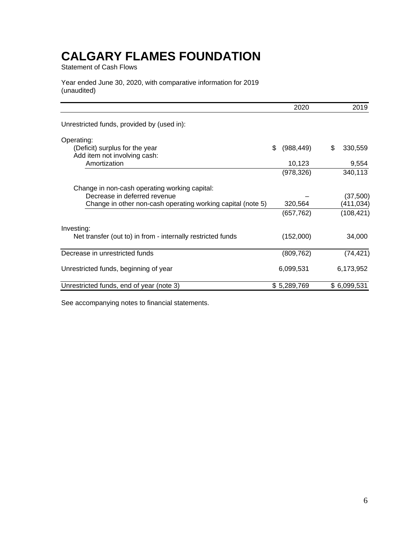Statement of Cash Flows

Year ended June 30, 2020, with comparative information for 2019 (unaudited)

|                                                                | 2020             | 2019          |
|----------------------------------------------------------------|------------------|---------------|
| Unrestricted funds, provided by (used in):                     |                  |               |
| Operating:                                                     |                  |               |
| (Deficit) surplus for the year<br>Add item not involving cash: | \$<br>(988, 449) | \$<br>330,559 |
| Amortization                                                   | 10,123           | 9,554         |
|                                                                | (978, 326)       | 340,113       |
| Change in non-cash operating working capital:                  |                  |               |
| Decrease in deferred revenue                                   |                  | (37,500)      |
| Change in other non-cash operating working capital (note 5)    | 320,564          | (411,034)     |
|                                                                | (657, 762)       | (108, 421)    |
| Investing:                                                     |                  |               |
| Net transfer (out to) in from - internally restricted funds    | (152,000)        | 34,000        |
| Decrease in unrestricted funds                                 | (809, 762)       | (74, 421)     |
| Unrestricted funds, beginning of year                          | 6,099,531        | 6,173,952     |
| Unrestricted funds, end of year (note 3)                       | \$5,289,769      | \$6,099,531   |

See accompanying notes to financial statements.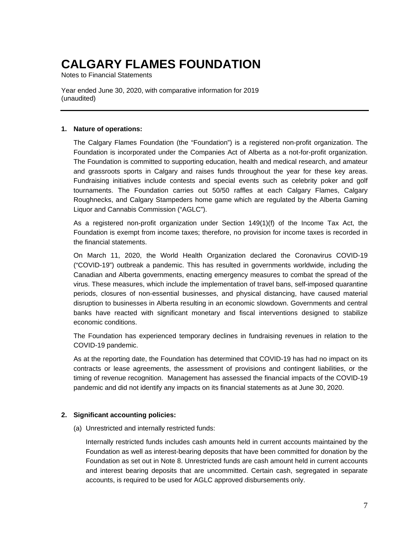Notes to Financial Statements

Year ended June 30, 2020, with comparative information for 2019 (unaudited)

#### **1. Nature of operations:**

The Calgary Flames Foundation (the "Foundation") is a registered non-profit organization. The Foundation is incorporated under the Companies Act of Alberta as a not-for-profit organization. The Foundation is committed to supporting education, health and medical research, and amateur and grassroots sports in Calgary and raises funds throughout the year for these key areas. Fundraising initiatives include contests and special events such as celebrity poker and golf tournaments. The Foundation carries out 50/50 raffles at each Calgary Flames, Calgary Roughnecks, and Calgary Stampeders home game which are regulated by the Alberta Gaming Liquor and Cannabis Commission ("AGLC").

As a registered non-profit organization under Section 149(1)(f) of the Income Tax Act, the Foundation is exempt from income taxes; therefore, no provision for income taxes is recorded in the financial statements.

On March 11, 2020, the World Health Organization declared the Coronavirus COVID-19 ("COVID-19") outbreak a pandemic. This has resulted in governments worldwide, including the Canadian and Alberta governments, enacting emergency measures to combat the spread of the virus. These measures, which include the implementation of travel bans, self-imposed quarantine periods, closures of non-essential businesses, and physical distancing, have caused material disruption to businesses in Alberta resulting in an economic slowdown. Governments and central banks have reacted with significant monetary and fiscal interventions designed to stabilize economic conditions.

The Foundation has experienced temporary declines in fundraising revenues in relation to the COVID-19 pandemic.

As at the reporting date, the Foundation has determined that COVID-19 has had no impact on its contracts or lease agreements, the assessment of provisions and contingent liabilities, or the timing of revenue recognition. Management has assessed the financial impacts of the COVID-19 pandemic and did not identify any impacts on its financial statements as at June 30, 2020.

### **2. Significant accounting policies:**

(a) Unrestricted and internally restricted funds:

Internally restricted funds includes cash amounts held in current accounts maintained by the Foundation as well as interest-bearing deposits that have been committed for donation by the Foundation as set out in Note 8. Unrestricted funds are cash amount held in current accounts and interest bearing deposits that are uncommitted. Certain cash, segregated in separate accounts, is required to be used for AGLC approved disbursements only.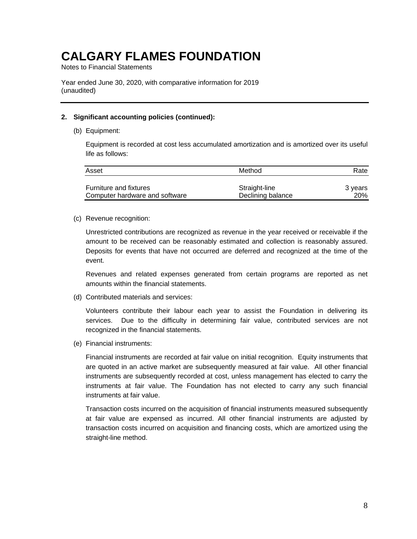Notes to Financial Statements

Year ended June 30, 2020, with comparative information for 2019 (unaudited)

#### **2. Significant accounting policies (continued):**

(b) Equipment:

Equipment is recorded at cost less accumulated amortization and is amortized over its useful life as follows:

| Asset                          | Method            | Rate    |
|--------------------------------|-------------------|---------|
| <b>Furniture and fixtures</b>  | Straight-line     | 3 years |
| Computer hardware and software | Declining balance | 20%     |

(c) Revenue recognition:

Unrestricted contributions are recognized as revenue in the year received or receivable if the amount to be received can be reasonably estimated and collection is reasonably assured. Deposits for events that have not occurred are deferred and recognized at the time of the event.

Revenues and related expenses generated from certain programs are reported as net amounts within the financial statements.

(d) Contributed materials and services:

Volunteers contribute their labour each year to assist the Foundation in delivering its services. Due to the difficulty in determining fair value, contributed services are not recognized in the financial statements.

(e) Financial instruments:

Financial instruments are recorded at fair value on initial recognition. Equity instruments that are quoted in an active market are subsequently measured at fair value. All other financial instruments are subsequently recorded at cost, unless management has elected to carry the instruments at fair value. The Foundation has not elected to carry any such financial instruments at fair value.

Transaction costs incurred on the acquisition of financial instruments measured subsequently at fair value are expensed as incurred. All other financial instruments are adjusted by transaction costs incurred on acquisition and financing costs, which are amortized using the straight-line method.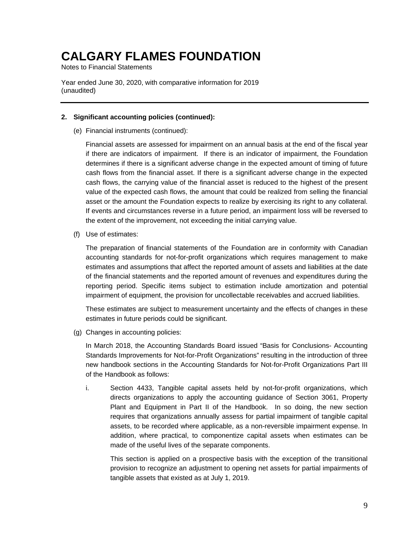Notes to Financial Statements

Year ended June 30, 2020, with comparative information for 2019 (unaudited)

### **2. Significant accounting policies (continued):**

(e) Financial instruments (continued):

Financial assets are assessed for impairment on an annual basis at the end of the fiscal year if there are indicators of impairment. If there is an indicator of impairment, the Foundation determines if there is a significant adverse change in the expected amount of timing of future cash flows from the financial asset. If there is a significant adverse change in the expected cash flows, the carrying value of the financial asset is reduced to the highest of the present value of the expected cash flows, the amount that could be realized from selling the financial asset or the amount the Foundation expects to realize by exercising its right to any collateral. If events and circumstances reverse in a future period, an impairment loss will be reversed to the extent of the improvement, not exceeding the initial carrying value.

(f) Use of estimates:

The preparation of financial statements of the Foundation are in conformity with Canadian accounting standards for not-for-profit organizations which requires management to make estimates and assumptions that affect the reported amount of assets and liabilities at the date of the financial statements and the reported amount of revenues and expenditures during the reporting period. Specific items subject to estimation include amortization and potential impairment of equipment, the provision for uncollectable receivables and accrued liabilities.

These estimates are subject to measurement uncertainty and the effects of changes in these estimates in future periods could be significant.

(g) Changes in accounting policies:

In March 2018, the Accounting Standards Board issued "Basis for Conclusions- Accounting Standards Improvements for Not-for-Profit Organizations" resulting in the introduction of three new handbook sections in the Accounting Standards for Not-for-Profit Organizations Part III of the Handbook as follows:

i. Section 4433, Tangible capital assets held by not-for-profit organizations, which directs organizations to apply the accounting guidance of Section 3061, Property Plant and Equipment in Part II of the Handbook. In so doing, the new section requires that organizations annually assess for partial impairment of tangible capital assets, to be recorded where applicable, as a non-reversible impairment expense. In addition, where practical, to componentize capital assets when estimates can be made of the useful lives of the separate components.

This section is applied on a prospective basis with the exception of the transitional provision to recognize an adjustment to opening net assets for partial impairments of tangible assets that existed as at July 1, 2019.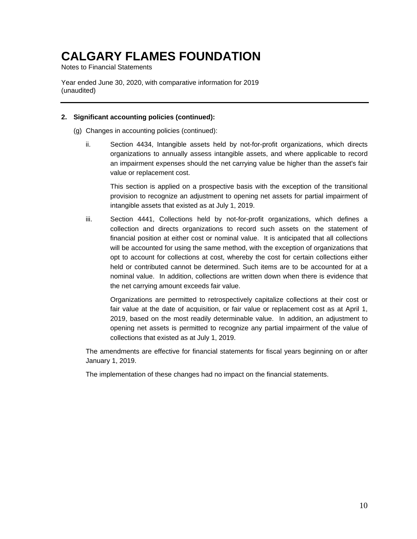Notes to Financial Statements

Year ended June 30, 2020, with comparative information for 2019 (unaudited)

### **2. Significant accounting policies (continued):**

- (g) Changes in accounting policies (continued):
	- ii. Section 4434, Intangible assets held by not-for-profit organizations, which directs organizations to annually assess intangible assets, and where applicable to record an impairment expenses should the net carrying value be higher than the asset's fair value or replacement cost.

This section is applied on a prospective basis with the exception of the transitional provision to recognize an adjustment to opening net assets for partial impairment of intangible assets that existed as at July 1, 2019.

iii. Section 4441, Collections held by not-for-profit organizations, which defines a collection and directs organizations to record such assets on the statement of financial position at either cost or nominal value. It is anticipated that all collections will be accounted for using the same method, with the exception of organizations that opt to account for collections at cost, whereby the cost for certain collections either held or contributed cannot be determined. Such items are to be accounted for at a nominal value. In addition, collections are written down when there is evidence that the net carrying amount exceeds fair value.

Organizations are permitted to retrospectively capitalize collections at their cost or fair value at the date of acquisition, or fair value or replacement cost as at April 1, 2019, based on the most readily determinable value. In addition, an adjustment to opening net assets is permitted to recognize any partial impairment of the value of collections that existed as at July 1, 2019.

The amendments are effective for financial statements for fiscal years beginning on or after January 1, 2019.

The implementation of these changes had no impact on the financial statements.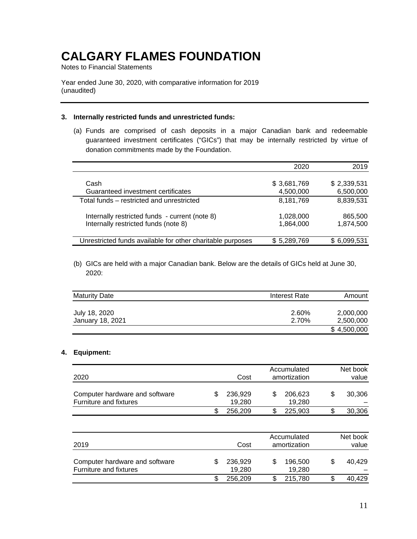Notes to Financial Statements

Year ended June 30, 2020, with comparative information for 2019 (unaudited)

#### **3. Internally restricted funds and unrestricted funds:**

(a) Funds are comprised of cash deposits in a major Canadian bank and redeemable guaranteed investment certificates ("GICs") that may be internally restricted by virtue of donation commitments made by the Foundation.

|                                                            | 2020        | 2019        |
|------------------------------------------------------------|-------------|-------------|
|                                                            |             |             |
| Cash                                                       | \$3,681,769 | \$2,339,531 |
| Guaranteed investment certificates                         | 4,500,000   | 6,500,000   |
| Total funds – restricted and unrestricted                  | 8,181,769   | 8,839,531   |
| Internally restricted funds - current (note 8)             | 1,028,000   | 865,500     |
| Internally restricted funds (note 8)                       | 1,864,000   | 1,874,500   |
|                                                            |             |             |
| Unrestricted funds available for other charitable purposes | \$5,289,769 | \$6,099,531 |

(b) GICs are held with a major Canadian bank. Below are the details of GICs held at June 30, 2020:

| <b>Maturity Date</b>              | Interest Rate  | Amount                 |
|-----------------------------------|----------------|------------------------|
| July 18, 2020<br>January 18, 2021 | 2.60%<br>2.70% | 2,000,000<br>2,500,000 |
|                                   |                | \$4,500,000            |

### **4. Equipment:**

| 2020                                                     |  | Cost              | Accumulated<br>amortization | Net book<br>value |
|----------------------------------------------------------|--|-------------------|-----------------------------|-------------------|
| Computer hardware and software<br>Furniture and fixtures |  | 236,929<br>19,280 | 206,623<br>19,280           | 30,306            |
|                                                          |  | 256,209           | 225,903                     | 30,306            |

| 2019                                                     |  | Cost              | Accumulated<br>amortization | Net book<br>value |
|----------------------------------------------------------|--|-------------------|-----------------------------|-------------------|
| Computer hardware and software<br>Furniture and fixtures |  | 236,929<br>19.280 | 196,500<br>19,280           | 40.429            |
|                                                          |  | 256,209           | 215.780                     | 40,429            |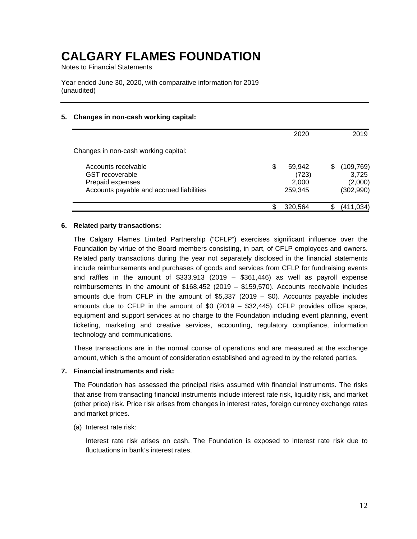Notes to Financial Statements

Year ended June 30, 2020, with comparative information for 2019 (unaudited)

### **5. Changes in non-cash working capital:**

|                                                                                                               | 2020                                      |   | 2019                                        |
|---------------------------------------------------------------------------------------------------------------|-------------------------------------------|---|---------------------------------------------|
| Changes in non-cash working capital:                                                                          |                                           |   |                                             |
| Accounts receivable<br><b>GST</b> recoverable<br>Prepaid expenses<br>Accounts payable and accrued liabilities | \$<br>59,942<br>(723)<br>2,000<br>259,345 | S | (109, 769)<br>3,725<br>(2,000)<br>(302,990) |
|                                                                                                               | 320,564                                   |   | (411.                                       |

#### **6. Related party transactions:**

The Calgary Flames Limited Partnership ("CFLP") exercises significant influence over the Foundation by virtue of the Board members consisting, in part, of CFLP employees and owners. Related party transactions during the year not separately disclosed in the financial statements include reimbursements and purchases of goods and services from CFLP for fundraising events and raffles in the amount of  $$333,913$  (2019 –  $$361,446$ ) as well as payroll expense reimbursements in the amount of \$168,452 (2019 – \$159,570). Accounts receivable includes amounts due from CFLP in the amount of  $$5,337$  (2019 –  $$0$ ). Accounts payable includes amounts due to CFLP in the amount of \$0 (2019 – \$32,445). CFLP provides office space, equipment and support services at no charge to the Foundation including event planning, event ticketing, marketing and creative services, accounting, regulatory compliance, information technology and communications.

These transactions are in the normal course of operations and are measured at the exchange amount, which is the amount of consideration established and agreed to by the related parties.

#### **7. Financial instruments and risk:**

The Foundation has assessed the principal risks assumed with financial instruments. The risks that arise from transacting financial instruments include interest rate risk, liquidity risk, and market (other price) risk. Price risk arises from changes in interest rates, foreign currency exchange rates and market prices.

#### (a) Interest rate risk:

Interest rate risk arises on cash. The Foundation is exposed to interest rate risk due to fluctuations in bank's interest rates.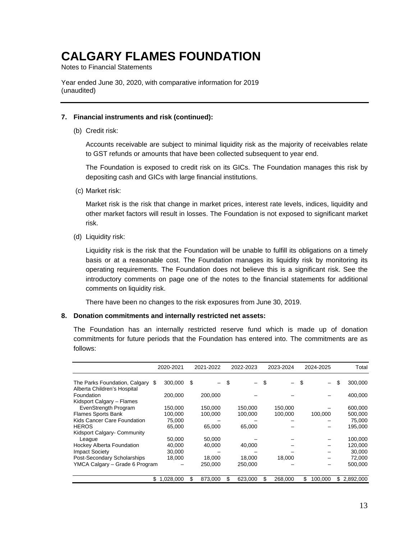Notes to Financial Statements

Year ended June 30, 2020, with comparative information for 2019 (unaudited)

#### **7. Financial instruments and risk (continued):**

(b) Credit risk:

Accounts receivable are subject to minimal liquidity risk as the majority of receivables relate to GST refunds or amounts that have been collected subsequent to year end.

The Foundation is exposed to credit risk on its GICs. The Foundation manages this risk by depositing cash and GICs with large financial institutions.

(c) Market risk:

Market risk is the risk that change in market prices, interest rate levels, indices, liquidity and other market factors will result in losses. The Foundation is not exposed to significant market risk.

(d) Liquidity risk:

Liquidity risk is the risk that the Foundation will be unable to fulfill its obligations on a timely basis or at a reasonable cost. The Foundation manages its liquidity risk by monitoring its operating requirements. The Foundation does not believe this is a significant risk. See the introductory comments on page one of the notes to the financial statements for additional comments on liquidity risk.

There have been no changes to the risk exposures from June 30, 2019.

#### **8. Donation commitments and internally restricted net assets:**

The Foundation has an internally restricted reserve fund which is made up of donation commitments for future periods that the Foundation has entered into. The commitments are as follows:

|                                                                 | 2020-2021   |      | 2021-2022 |     | 2022-2023 | 2023-2024 | 2024-2025 |         |     | Total     |
|-----------------------------------------------------------------|-------------|------|-----------|-----|-----------|-----------|-----------|---------|-----|-----------|
| The Parks Foundation, Calgary \$<br>Alberta Children's Hospital | 300,000     | - \$ |           | \$. |           |           | \$        |         | \$  | 300,000   |
| Foundation                                                      | 200,000     |      | 200,000   |     |           |           |           |         |     | 400,000   |
| Kidsport Calgary - Flames                                       |             |      |           |     |           |           |           |         |     |           |
| EvenStrength Program                                            | 150,000     |      | 150.000   |     | 150,000   | 150,000   |           |         |     | 600,000   |
| <b>Flames Sports Bank</b>                                       | 100.000     |      | 100,000   |     | 100,000   | 100,000   |           | 100,000 |     | 500,000   |
| Kids Cancer Care Foundation                                     | 75.000      |      |           |     |           |           |           |         |     | 75,000    |
| <b>HEROS</b>                                                    | 65,000      |      | 65,000    |     | 65,000    |           |           |         |     | 195,000   |
| Kidsport Calgary- Community                                     |             |      |           |     |           |           |           |         |     |           |
| League                                                          | 50.000      |      | 50,000    |     |           |           |           |         |     | 100,000   |
| <b>Hockey Alberta Foundation</b>                                | 40,000      |      | 40,000    |     | 40,000    |           |           |         |     | 120,000   |
| <b>Impact Society</b>                                           | 30,000      |      |           |     |           |           |           |         |     | 30,000    |
| Post-Secondary Scholarships                                     | 18,000      |      | 18,000    |     | 18,000    | 18,000    |           |         |     | 72,000    |
| YMCA Calgary - Grade 6 Program                                  |             |      | 250,000   |     | 250,000   |           |           |         |     | 500,000   |
|                                                                 | \$1,028,000 | S    | 873.000   | S   | 623,000   | 268,000   | \$        | 100.000 | \$. | 2,892,000 |